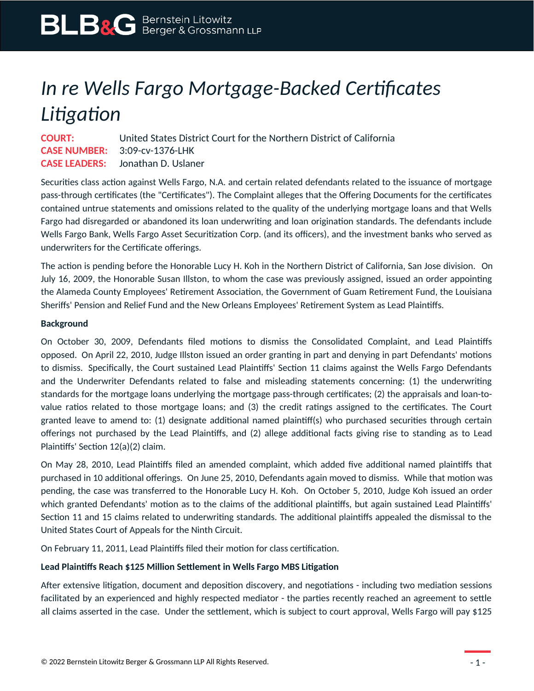## *In re Wells Fargo Mortgage-Backed Certificates Litigation*

**COURT:** United States District Court for the Northern District of California **CASE NUMBER:** 3:09-cv-1376-LHK **CASE LEADERS:** Jonathan D. Uslaner

Securities class action against Wells Fargo, N.A. and certain related defendants related to the issuance of mortgage pass-through certificates (the "Certificates"). The Complaint alleges that the Offering Documents for the certificates contained untrue statements and omissions related to the quality of the underlying mortgage loans and that Wells Fargo had disregarded or abandoned its loan underwriting and loan origination standards. The defendants include Wells Fargo Bank, Wells Fargo Asset Securitization Corp. (and its officers), and the investment banks who served as underwriters for the Certificate offerings.

The action is pending before the Honorable Lucy H. Koh in the Northern District of California, San Jose division. On July 16, 2009, the Honorable Susan Illston, to whom the case was previously assigned, issued an order appointing the Alameda County Employees' Retirement Association, the Government of Guam Retirement Fund, the Louisiana Sheriffs' Pension and Relief Fund and the New Orleans Employees' Retirement System as Lead Plaintiffs.

## **Background**

On October 30, 2009, Defendants filed motions to dismiss the Consolidated Complaint, and Lead Plaintiffs opposed. On April 22, 2010, Judge Illston issued an order granting in part and denying in part Defendants' motions to dismiss. Specifically, the Court sustained Lead Plaintiffs' Section 11 claims against the Wells Fargo Defendants and the Underwriter Defendants related to false and misleading statements concerning: (1) the underwriting standards for the mortgage loans underlying the mortgage pass-through certificates; (2) the appraisals and loan-tovalue ratios related to those mortgage loans; and (3) the credit ratings assigned to the certificates. The Court granted leave to amend to: (1) designate additional named plaintiff(s) who purchased securities through certain offerings not purchased by the Lead Plaintiffs, and (2) allege additional facts giving rise to standing as to Lead Plaintiffs' Section 12(a)(2) claim.

On May 28, 2010, Lead Plaintiffs filed an amended complaint, which added five additional named plaintiffs that purchased in 10 additional offerings. On June 25, 2010, Defendants again moved to dismiss. While that motion was pending, the case was transferred to the Honorable Lucy H. Koh. On October 5, 2010, Judge Koh issued an order which granted Defendants' motion as to the claims of the additional plaintiffs, but again sustained Lead Plaintiffs' Section 11 and 15 claims related to underwriting standards. The additional plaintiffs appealed the dismissal to the United States Court of Appeals for the Ninth Circuit.

On February 11, 2011, Lead Plaintiffs filed their motion for class certification.

## **Lead Plaintiffs Reach \$125 Million Settlement in Wells Fargo MBS Litigation**

After extensive litigation, document and deposition discovery, and negotiations - including two mediation sessions facilitated by an experienced and highly respected mediator - the parties recently reached an agreement to settle all claims asserted in the case. Under the settlement, which is subject to court approval, Wells Fargo will pay \$125